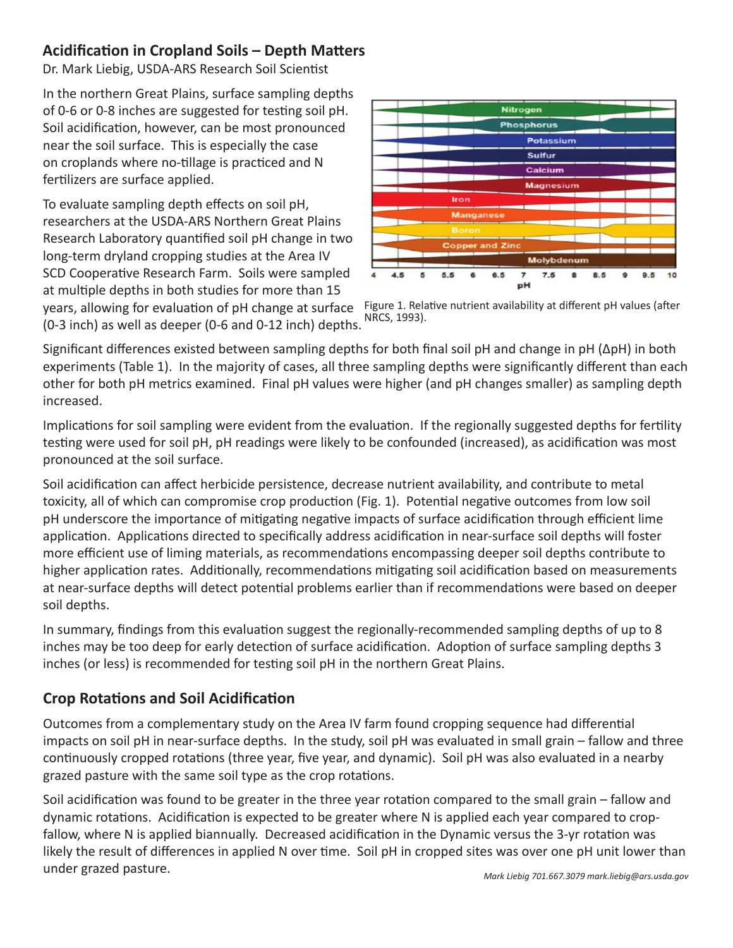## **Acidification in Cropland Soils – Depth Matters**

Dr. Mark Liebig, USDA-ARS Research Soil Scientist

In the northern Great Plains, surface sampling depths of 0-6 or 0-8 inches are suggested for testing soil pH. Soil acidification, however, can be most pronounced near the soil surface. This is especially the case on croplands where no-tillage is practiced and N fertilizers are surface applied.

To evaluate sampling depth effects on soil pH, researchers at the USDA-ARS Northern Great Plains Research Laboratory quantified soil pH change in two long-term dryland cropping studies at the Area IV SCD Cooperative Research Farm. Soils were sampled at multiple depths in both studies for more than 15 years, allowing for evaluation of pH change at surface (0-3 inch) as well as deeper (0-6 and 0-12 inch) depths.



Figure 1. Relative nutrient availability at different pH values (after NRCS, 1993).

Significant differences existed between sampling depths for both final soil pH and change in pH (ΔpH) in both experiments (Table 1). In the majority of cases, all three sampling depths were significantly different than each other for both pH metrics examined. Final pH values were higher (and pH changes smaller) as sampling depth increased.

Implications for soil sampling were evident from the evaluation. If the regionally suggested depths for fertility testing were used for soil pH, pH readings were likely to be confounded (increased), as acidification was most pronounced at the soil surface.

Soil acidification can affect herbicide persistence, decrease nutrient availability, and contribute to metal toxicity, all of which can compromise crop production (Fig. 1). Potential negative outcomes from low soil pH underscore the importance of mitigating negative impacts of surface acidification through efficient lime application. Applications directed to specifically address acidification in near-surface soil depths will foster more efficient use of liming materials, as recommendations encompassing deeper soil depths contribute to higher application rates. Additionally, recommendations mitigating soil acidification based on measurements at near-surface depths will detect potential problems earlier than if recommendations were based on deeper soil depths.

In summary, findings from this evaluation suggest the regionally-recommended sampling depths of up to 8 inches may be too deep for early detection of surface acidification. Adoption of surface sampling depths 3 inches (or less) is recommended for testing soil pH in the northern Great Plains.

## **Crop Rotations and Soil Acidification**

Outcomes from a complementary study on the Area IV farm found cropping sequence had differential impacts on soil pH in near-surface depths. In the study, soil pH was evaluated in small grain – fallow and three continuously cropped rotations (three year, five year, and dynamic). Soil pH was also evaluated in a nearby grazed pasture with the same soil type as the crop rotations.

Soil acidification was found to be greater in the three year rotation compared to the small grain – fallow and dynamic rotations. Acidification is expected to be greater where N is applied each year compared to cropfallow, where N is applied biannually. Decreased acidification in the Dynamic versus the 3-yr rotation was likely the result of differences in applied N over time. Soil pH in cropped sites was over one pH unit lower than under grazed pasture.